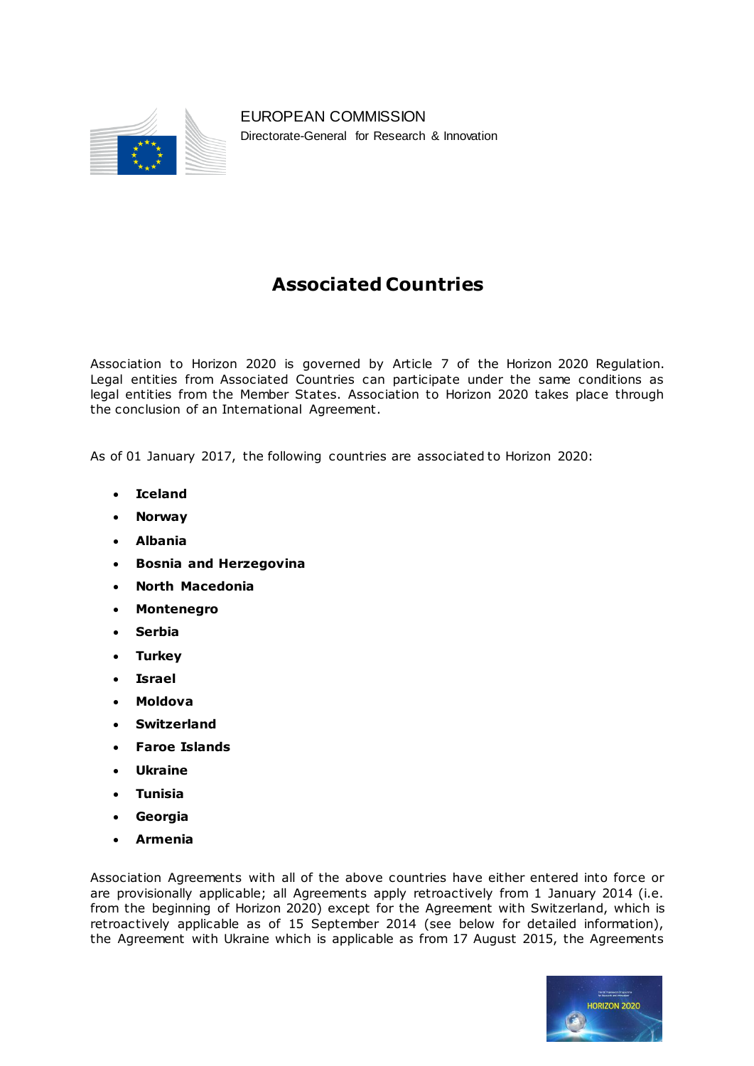

EUROPEAN COMMISSION Directorate-General for Research & Innovation

## **Associated Countries**

Association to Horizon 2020 is governed by Article 7 of the Horizon 2020 Regulation. Legal entities from Associated Countries can participate under the same conditions as legal entities from the Member States. Association to Horizon 2020 takes place through the conclusion of an International Agreement.

As of 01 January 2017, the following countries are associated to Horizon 2020:

- **Iceland**
- **Norway**
- **Albania**
- **Bosnia and Herzegovina**
- **North Macedonia**
- **Montenegro**
- **Serbia**
- **Turkey**
- **Israel**
- **Moldova**
- **Switzerland**
- **Faroe Islands**
- **Ukraine**
- **Tunisia**
- **Georgia**
- **Armenia**

Association Agreements with all of the above countries have either entered into force or are provisionally applicable; all Agreements apply retroactively from 1 January 2014 (i.e. from the beginning of Horizon 2020) except for the Agreement with Switzerland, which is retroactively applicable as of 15 September 2014 (see below for detailed information), the Agreement with Ukraine which is applicable as from 17 August 2015, the Agreements

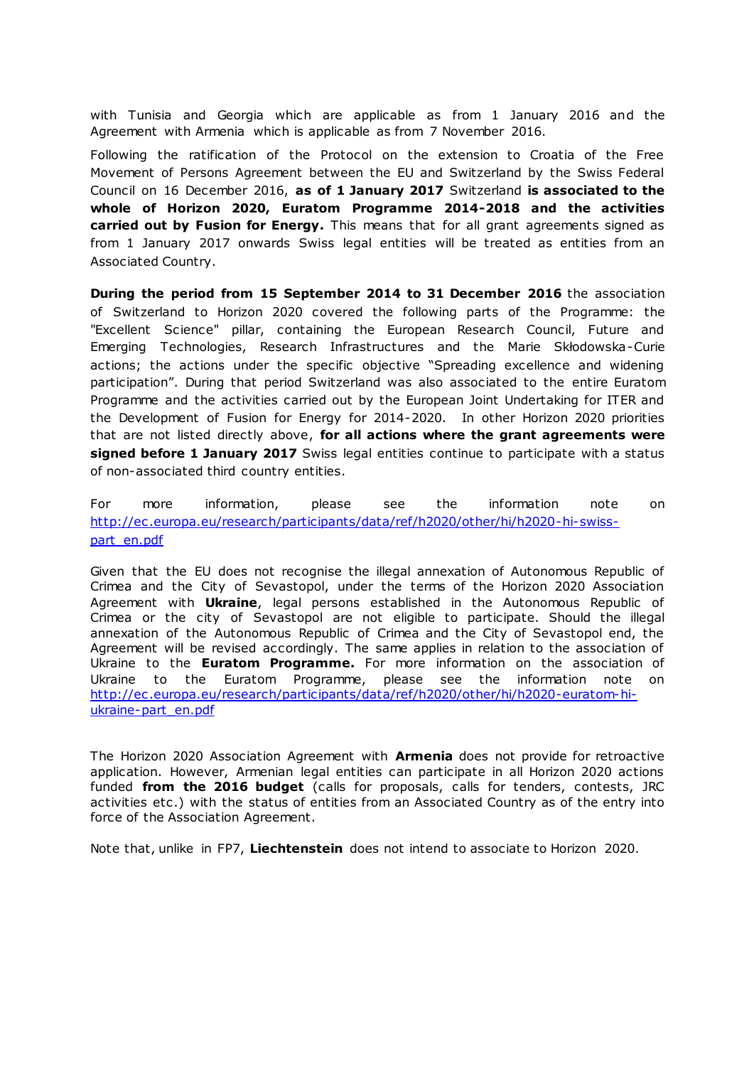with Tunisia and Georgia which are applicable as from 1 January 2016 and the Agreement with Armenia which is applicable as from 7 November 2016.

Following the ratification of the Protocol on the extension to Croatia of the Free Movement of Persons Agreement between the EU and Switzerland by the Swiss Federal Council on 16 December 2016, **as of 1 January 2017** Switzerland **is associated to the whole of Horizon 2020, Euratom Programme 2014-2018 and the activities carried out by Fusion for Energy.** This means that for all grant agreements signed as from 1 January 2017 onwards Swiss legal entities will be treated as entities from an Associated Country.

**During the period from 15 September 2014 to 31 December 2016** the association of Switzerland to Horizon 2020 covered the following parts of the Programme: the "Excellent Science" pillar, containing the European Research Council, Future and Emerging Technologies, Research Infrastructures and the Marie Skłodowska-Curie actions; the actions under the specific objective "Spreading excellence and widening participation". During that period Switzerland was also associated to the entire Euratom Programme and the activities carried out by the European Joint Undertaking for ITER and the Development of Fusion for Energy for 2014-2020. In other Horizon 2020 priorities that are not listed directly above, **for all actions where the grant agreements were signed before 1 January 2017** Swiss legal entities continue to participate with a status of non-associated third country entities.

For more information, please see the information note on [http://ec .europa.eu/research/participants/data/ref/h2020/other/hi/h2020-hi-swiss](http://ec.europa.eu/research/participants/data/ref/h2020/other/hi/h2020-hi-swiss-part_en.pdf)[part\\_en.pdf](http://ec.europa.eu/research/participants/data/ref/h2020/other/hi/h2020-hi-swiss-part_en.pdf)

Given that the EU does not recognise the illegal annexation of Autonomous Republic of Crimea and the City of Sevastopol, under the terms of the Horizon 2020 Association Agreement with **Ukraine**, legal persons established in the Autonomous Republic of Crimea or the city of Sevastopol are not eligible to participate. Should the illegal annexation of the Autonomous Republic of Crimea and the City of Sevastopol end, the Agreement will be revised accordingly. The same applies in relation to the association of Ukraine to the **Euratom Programme.** For more information on the association of Ukraine to the Euratom Programme, please see the information note on [http://ec .europa.eu/research/participants/data/ref/h2020/other/hi/h2020-euratom-hi](http://ec.europa.eu/research/participants/data/ref/h2020/other/hi/h2020-euratom-hi-ukraine-part_en.pdf)[ukraine-part\\_en.pdf](http://ec.europa.eu/research/participants/data/ref/h2020/other/hi/h2020-euratom-hi-ukraine-part_en.pdf)

The Horizon 2020 Association Agreement with **Armenia** does not provide for retroactive application. However, Armenian legal entities can participate in all Horizon 2020 actions funded **from the 2016 budget** (calls for proposals, calls for tenders, contests, JRC activities etc .) with the status of entities from an Associated Country as of the entry into force of the Association Agreement.

Note that, unlike in FP7, **Liechtenstein** does not intend to associate to Horizon 2020.